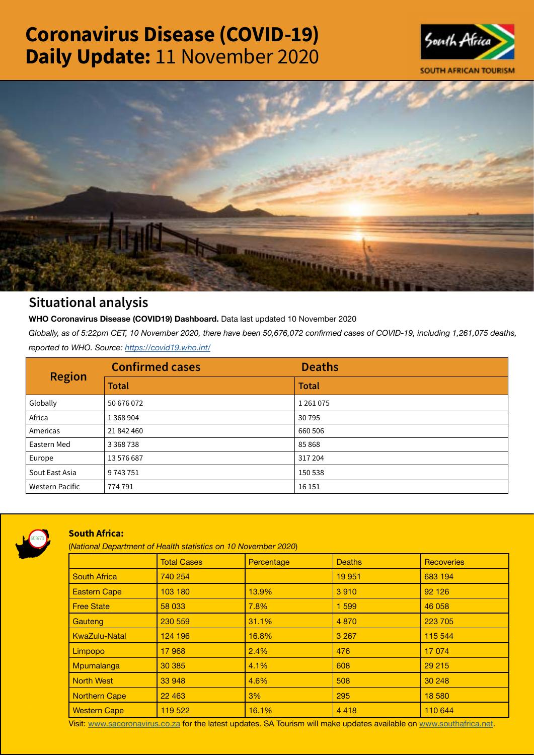# Coronavirus Disease (COVID-19) Daily Update: 11 November 2020





## Situational analysis

**WHO Coronavirus Disease (COVID19) Dashboard.** Data last updated 10 November 2020

*Globally, as of 5:22pm CET, 10 November 2020, there have been 50,676,072 confirmed cases of COVID-19, including 1,261,075 deaths, reported to WHO. Source:<https://covid19.who.int/>*

| <b>Region</b>          | <b>Confirmed cases</b> | <b>Deaths</b> |
|------------------------|------------------------|---------------|
|                        | <b>Total</b>           | <b>Total</b>  |
| Globally               | 50 676 072             | 1261075       |
| Africa                 | 1 3 6 8 9 0 4          | 30795         |
| Americas               | 21 842 460             | 660 506       |
| Eastern Med            | 3 3 68 7 38            | 85868         |
| Europe                 | 13 576 687             | 317204        |
| Sout East Asia         | 9743751                | 150 538       |
| <b>Western Pacific</b> | 774 791                | 16 15 1       |



### South Africa:

(*National Department of Health statistics on 10 November 2020*)

|                      | <b>Total Cases</b> | Percentage | <b>Deaths</b> | <b>Recoveries</b> |  |  |
|----------------------|--------------------|------------|---------------|-------------------|--|--|
| <b>South Africa</b>  | 740 254            |            | 19 951        | 683 194           |  |  |
| <b>Eastern Cape</b>  | 103 180            | 13.9%      | 3910          | 92 1 26           |  |  |
| <b>Free State</b>    | 58 033             | 7.8%       | 1 5 9 9       | 46 058            |  |  |
| Gauteng              | 230 559            | 31.1%      | 4 8 7 0       | 223 705           |  |  |
| <b>KwaZulu-Natal</b> | 124 196            | 16.8%      | 3 2 6 7       | 115 544           |  |  |
| Limpopo              | 17968              | 2.4%       | 476           | 17 074            |  |  |
| Mpumalanga           | 30 385             | 4.1%       | 608           | 29 215            |  |  |
| <b>North West</b>    | 33 948             | 4.6%       | 508           | 30 248            |  |  |
| <b>Northern Cape</b> | 22 4 63            | 3%         | 295           | 18 580            |  |  |
| <b>Western Cape</b>  | 119 522            | 16.1%      | 4418          | 110 644           |  |  |

Visit: [www.sacoronavirus.co.za](http://www.sacoronavirus.co.za) for the latest updates. SA Tourism will make updates available on [www.southafrica.net.](http://www.southafrica.net)